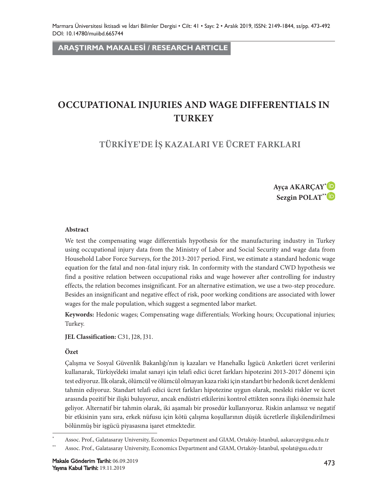**ARAŞTIRMA MAKALESİ / RESEARCH ARTICLE**

# **OCCUPATIONAL INJURIES AND WAGE DIFFERENTIALS IN TURKEY**

## **TÜRKİYE'DE İŞ KAZALARI VE ÜCRET FARKLARI**



#### **Abstract**

We test the compensating wage differentials hypothesis for the manufacturing industry in Turkey using occupational injury data from the Ministry of Labor and Social Security and wage data from Household Labor Force Surveys, for the 2013-2017 period. First, we estimate a standard hedonic wage equation for the fatal and non-fatal injury risk. In conformity with the standard CWD hypothesis we find a positive relation between occupational risks and wage however after controlling for industry effects, the relation becomes insignificant. For an alternative estimation, we use a two-step procedure. Besides an insignificant and negative effect of risk, poor working conditions are associated with lower wages for the male population, which suggest a segmented labor market.

**Keywords:** Hedonic wages; Compensating wage differentials; Working hours; Occupational injuries; Turkey.

**JEL Classification:** C31, J28, J31.

#### **Özet**

Çalışma ve Sosyal Güvenlik Bakanlığı'nın iş kazaları ve Hanehalkı İşgücü Anketleri ücret verilerini kullanarak, Türkiye'deki imalat sanayi için telafi edici ücret farkları hipotezini 2013-2017 dönemi için test ediyoruz. İlk olarak, ölümcül ve ölümcül olmayan kaza riski için standart bir hedonik ücret denklemi tahmin ediyoruz. Standart telafi edici ücret farkları hipotezine uygun olarak, mesleki riskler ve ücret arasında pozitif bir ilişki buluyoruz, ancak endüstri etkilerini kontrol ettikten sonra ilişki önemsiz hale geliyor. Alternatif bir tahmin olarak, iki aşamalı bir prosedür kullanıyoruz. Riskin anlamsız ve negatif bir etkisinin yanı sıra, erkek nüfusu için kötü çalışma koşullarının düşük ücretlerle ilişkilendirilmesi bölünmüş bir işgücü piyasasına işaret etmektedir.

<sup>\*</sup> Assoc. Prof., Galatasaray University, Economics Department and GIAM, Ortaköy-İstanbul, aakarcay@gsu.edu.tr

<sup>\*\*</sup> Assoc. Prof., Galatasaray University, Economics Department and GIAM, Ortaköy-İstanbul, spolat@gsu.edu.tr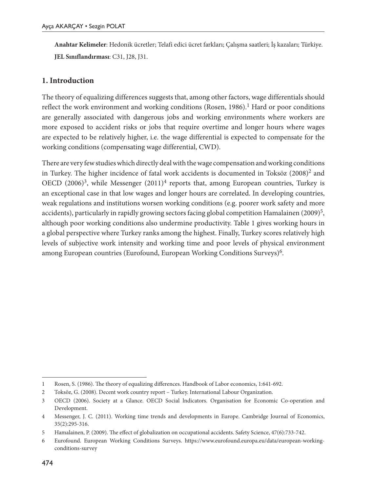**Anahtar Kelimeler**: Hedonik ücretler; Telafi edici ücret farkları; Çalışma saatleri; İş kazaları; Türkiye. **JEL Sınıflandırması**: C31, J28, J31.

### **1. Introduction**

The theory of equalizing differences suggests that, among other factors, wage differentials should reflect the work environment and working conditions (Rosen, 1986).<sup>1</sup> Hard or poor conditions are generally associated with dangerous jobs and working environments where workers are more exposed to accident risks or jobs that require overtime and longer hours where wages are expected to be relatively higher, i.e. the wage differential is expected to compensate for the working conditions (compensating wage differential, CWD).

There are very few studies which directly deal with the wage compensation and working conditions in Turkey. The higher incidence of fatal work accidents is documented in Toksöz  $(2008)^2$  and OECD  $(2006)^3$ , while Messenger  $(2011)^4$  reports that, among European countries, Turkey is an exceptional case in that low wages and longer hours are correlated. In developing countries, weak regulations and institutions worsen working conditions (e.g. poorer work safety and more accidents), particularly in rapidly growing sectors facing global competition Hamalainen (2009)<sup>5</sup>, although poor working conditions also undermine productivity. Table 1 gives working hours in a global perspective where Turkey ranks among the highest. Finally, Turkey scores relatively high levels of subjective work intensity and working time and poor levels of physical environment among European countries (Eurofound, European Working Conditions Surveys)<sup>6</sup>.

<sup>1</sup> Rosen, S. (1986). The theory of equalizing differences. Handbook of Labor economics, 1:641-692.

<sup>2</sup> Toksöz, G. (2008). Decent work country report – Turkey. International Labour Organization.

<sup>3</sup> OECD (2006). Society at a Glance. OECD Social lndicators. Organisation for Economic Co-operation and Development.

<sup>4</sup> Messenger, J. C. (2011). Working time trends and developments in Europe. Cambridge Journal of Economics, 35(2):295-316.

<sup>5</sup> Hamalainen, P. (2009). The effect of globalization on occupational accidents. Safety Science, 47(6):733-742.

<sup>6</sup> Eurofound. European Working Conditions Surveys. https://www.eurofound.europa.eu/data/european-workingconditions-survey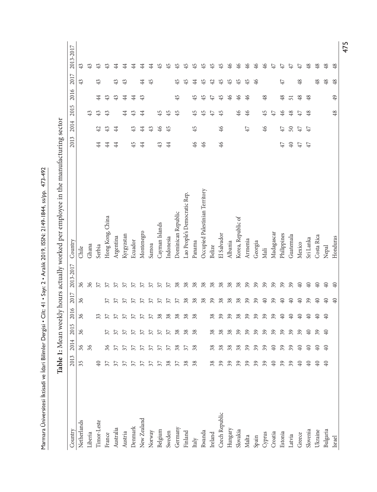Marmara Üniversitesi İktisadi ve İdari Bilimler Dergisi • Cilt: 41 • Sayı: 2 • Aralık 2019, ISSN: 2149-1844, ss/pp. 473-492 Marmara Üniversitesi İktisadi ve İdari Bilimler Dergisi • Cilt: 41 • Sayı: 2 • Aralık 2019, ISSN: 2149-1844, ss/pp. 473-492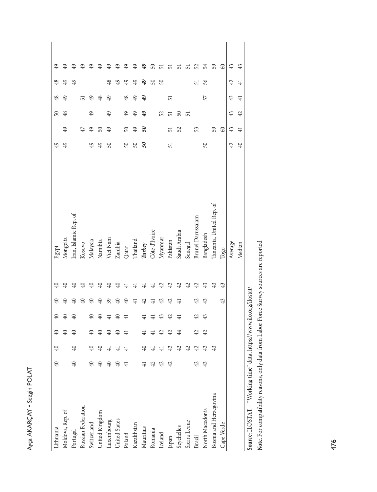| ţ                     |
|-----------------------|
|                       |
| ć<br>١<br>n<br>π<br>ì |
|                       |

| Lithuania                      | $40\,$           | $\overline{40}$ | $\oplus$       | $\overline{40}$                        | $\Theta$        | ¥  | Egypt                    | 49     |                | $50\,$ | $\frac{48}{5}$ | 48             |        |
|--------------------------------|------------------|-----------------|----------------|----------------------------------------|-----------------|----|--------------------------|--------|----------------|--------|----------------|----------------|--------|
| Moldova, Rep. of               |                  |                 | $\mathfrak{D}$ | 9ŧ                                     |                 |    | Mongolia                 | 49     | 49             | 48     | ₽              | $^{49}$        |        |
| Portugal                       | ą0               | $\overline{40}$ | ₽              | ₹                                      | $\overline{40}$ |    | Iran, Islamic Rep. of    |        |                |        |                | 49             |        |
| Russian Federation             |                  |                 |                |                                        | 9ŧ              |    | Kosovo                   |        | 47             |        | 57             |                |        |
| Switzerland                    | ¥                | ₽               | ₽              | ₽                                      |                 |    | Malaysia                 | 49     | 49             | 49     | ₽              |                |        |
| United Kingdom                 | $40\,$           | $\overline{40}$ | $\Theta$       | 9ŧ                                     |                 |    | Namibia                  | 49     | $50\,$         |        | \$             |                | ä      |
| Luxembourg                     | $\theta$         |                 | $\Theta$       |                                        | 39              |    | Viet Nam                 | $50\,$ | 49             | 49     | $\oplus$       | 48             | e<br># |
| United States                  | $\theta_{\rm 0}$ |                 | $\mathbb{Q}$   | 9ŧ                                     | 9ŧ              | ₽  | Zambia                   |        |                |        |                | 49             | ₽      |
| Poland                         | $\exists$        | $\overline{+}$  | $\overline{+}$ | ⋥                                      | ₽               |    | Qatar                    | $50\,$ | $50\,$         | 49     | $\frac{48}{5}$ | 49             | ₽      |
| Kazakhstan                     |                  |                 |                |                                        |                 |    | Thailand                 | $50\,$ | 49             | 49     | 9              | $^{49}$        | ç,     |
| Mauritius                      |                  |                 |                |                                        | 42              |    | Turkey                   | 50     | 50             | 9      | e,             | \$             | 49     |
| Romania                        | 42               |                 |                |                                        |                 |    | Côte d'Ivoire            |        |                |        |                | $50\,$         | ິລ     |
| Iceland                        | 42               |                 | 42             | ⇔                                      | 4               | 42 | Myannar                  |        |                | 52     |                | $50\,$         | 음      |
| Japan                          | 42               | 42              | 42             | 42                                     | 42              | 42 | Pakistan                 | 51     | 51             | 51     | 57             |                | ದ      |
| Seychelles<br>Sierra Leone     |                  | 42              | \$             |                                        |                 | ₩  | Saudi Arabia             |        | 52             | $50\,$ |                |                | ದ      |
|                                |                  | 4               |                |                                        |                 | ≌  | Senegal                  |        |                | 51     |                |                | 51     |
| $\bf { Brazil}$                | 42               | 42              | 42             | 42                                     | 42              | Ħ  | Brunei Darussalam        |        | 53             |        |                | 51             | 52     |
| North Macedonia                | 43               | 4               | 42             | ⇔                                      |                 |    | Bangladesh               | 50     |                |        | 57             | 56             | 54     |
| Bosnia and Herzegovina         |                  | 43              |                |                                        |                 |    | Tanzania, United Rep. of |        | 59             |        |                |                | 59     |
| Cape Verde                     |                  |                 |                |                                        | 43              | 43 | Togo                     |        | 60             |        |                |                | 8      |
|                                |                  |                 |                |                                        |                 |    | Average                  | 42     | 43             | 43     | \$             | 42             | 43     |
|                                |                  |                 |                |                                        |                 |    | Median                   | 40     | $\overline{4}$ | 42     | $\overline{4}$ | $\overline{4}$ | 43     |
| Source: ILOSTAT - "Working tim |                  |                 |                | ie" data, https://www.ilo.org/ilostat/ |                 |    |                          |        |                |        |                |                |        |

Note. For compatibility reasons, only data from Labor Force Survey sources are reported **Note.** For compatibility reasons, only data from Labor Force Survey sources are reported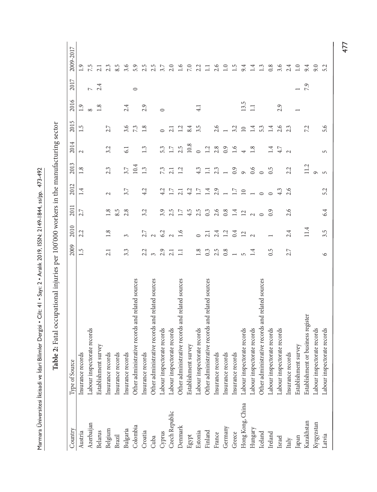| Country          | Type of Source                                   | 2009             | 2010           | 2011            | 2012                     | 2013           | 2014           | 2015    | 2016          | 2017    | 2009-2017        |
|------------------|--------------------------------------------------|------------------|----------------|-----------------|--------------------------|----------------|----------------|---------|---------------|---------|------------------|
| Austria          | Insurance records                                | 1.5              | 2.2            | 2.7             | 1.4                      | 1.8            | $\mathcal{L}$  | 1.5     | 1.9           |         |                  |
| Azerbaijan       | Labour inspectorate records                      |                  |                |                 |                          |                |                |         | $\infty$      | $\sim$  | 7.5              |
| Belarus          | Establishment survey                             |                  |                |                 |                          |                |                |         | 1.8           | 2.4     | 2.1              |
| Belgium          | Insurance records                                | 2.1              | 1.8            | 1.8             | $\sim$                   | 2.3            | 3.2            | 2.7     |               |         | 2.3              |
| Brazil           | Insurance records                                |                  |                | 8.5             |                          |                |                |         |               |         | 8.5              |
| Bulgaria         | Insurance records                                | 3.3              | 3              | 2.8             | 3.7                      | 3.7            | 61             | 3.6     | 2.4           |         | 3.6              |
| Colombia         | Other administrative records and related sources |                  |                |                 |                          | 10.4           |                | 7.3     |               | $\circ$ | 5.9              |
| Croatia          | Insurance records                                | 2.2              | 2.7            | 3.2             | 4.2                      | 1.3            | 1.3            | 1.8     | 2.9           |         | 2.5              |
| Cuba             | Other administrative records and related sources | $\epsilon$       |                |                 |                          |                |                |         |               |         | 2.5              |
| Cyprus           | Labour inspectorate records                      | 2.9              | $2\frac{3}{6}$ | 3.9             | 4.2                      | 73             | 5.3            | $\circ$ | $\circ$       |         | 3.7              |
| Czech Republic   | Labour inspectorate records                      | 2.1              | $\sim$         | 2.5             | 1.7                      | 2.1            | $1.7\,$        | 2.1     |               |         | 2.0              |
| Denmark          | Other administrative records and related sources | $\Box$           | 1.6            | $1.7\,$         | 2.1                      | 1.2            | 2.5            | 1.2     |               |         | $1.6\,$          |
| Egypt            | Establishment survey                             |                  |                | 4.5             | 4.2                      |                | 10.8           | 8.4     |               |         | $7.0\,$          |
| Estonia          | Labour inspectorate records                      | $1.8\,$          | $\circ$        | 2.5             | $17\,$                   | 4.3            | $\circ$        | 3.5     | $\frac{1}{4}$ |         | 2.2              |
| Finland          | Other administrative records and related sources | $0.\overline{3}$ | 2.1            | 0.3             | $1.4\,$                  | $\Box$         | 1.2            |         |               |         | $\Xi$            |
| France           | Insurance records                                | 2.5              | $2.4$<br>1.2   | 2.6             | 2.9                      | 2.3            | 2.8            | 2.6     |               |         | 2.6              |
| Germany          | Insurance records                                | 0.8              |                | $0.8\,$         | $\overline{a}$           | $\overline{a}$ | 0.9            |         |               |         | 1.0              |
| Greece           | Insurance records                                |                  | 0.4            | $1.4\,$         | 1.7                      | 0.9            | 1.6            | 3.2     |               |         | 1.5              |
| Hong Kong, China | Labour inspectorate records                      | $\sqrt{2}$       | $\frac{2}{2}$  | $\overline{12}$ | $\square$                | $\circ$        | 4              | 10      | 13.5          |         | 9.4              |
| Hungary          | Labour inspectorate records                      | 1.4              |                | $\sim$          | $\overline{\phantom{0}}$ | 0.6            | 1.8            | 1.4     | $\Box$        |         | 1.4              |
| Iceland          | Other administrative records and related sources |                  |                | $\circ$         | $\circ$                  | $\circ$        |                | 5.3     |               |         | $1.3\,$          |
| Ireland          | Labour inspectorate records                      | 0.5              |                | 0.9             | $\circ$                  | 0.5            | 1.4            | 1.4     |               |         | 0.8              |
| Israel           | Labour inspectorate records                      |                  |                |                 | 4.3                      |                | 4.7            | 2.6     | 2.9           |         | 3.6              |
| Italy            | Insurance records                                | 2.7              | 2.4            | 2.6             | 2.6                      | 2.2            | $\sim$         | 2.3     |               |         | 2.4              |
| Japan            | Establishment survey                             |                  |                |                 |                          |                |                |         |               |         | $\overline{1.0}$ |
| Kazakhstan       | Establishment or business register               |                  | 11.4           |                 |                          | 11.2           |                | 7.2     |               | 7.9     | 9.4              |
| $\rm Kyrgyzstan$ | Labour inspectorate records                      |                  |                |                 |                          |                |                |         |               |         | 9.0              |
| Latvia           | Labour inspectorate records                      | $\circ$          | 3.5            | 6.4             | 5.2                      | $\overline{5}$ | $\overline{5}$ | 5.6     |               |         | 5.2              |

Table 2: Fatal occupational injuries per 100'000 workers in the manufacturing sector Marmara Üniversitesi İktisadi ve İdari Bilimler Dergisi • Cilt: 41 • Sayı: 2 • Aralık 2019, ISSN: 2149-1844, ss/pp. 473-492

Marmara Üniversitesi İktisadi ve İdari Bilimler Dergisi • Cilt: 41 • Sayı: 2 • Aralık 2019, ISSN: 2149-1844, ss/pp. 473-492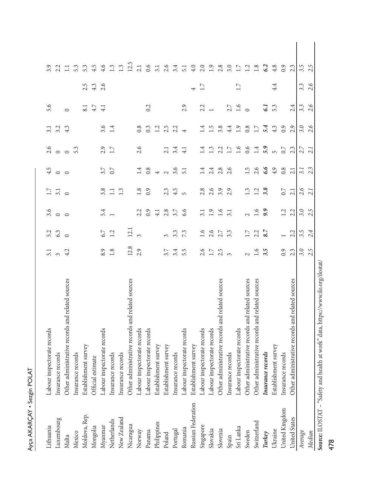| Ĕ<br>r. |
|---------|
| ١<br>č  |
| Š<br>3  |
|         |

| Lithuania          | pectorate records<br>abour ins                                                   | 5.1                   | 5.2           | 3.6              | 1.7            | 4.5             | 2.6            | $\overline{3.1}$ | 5.6             |     | 3.9             |  |
|--------------------|----------------------------------------------------------------------------------|-----------------------|---------------|------------------|----------------|-----------------|----------------|------------------|-----------------|-----|-----------------|--|
| Luxembourg         | Insurance records                                                                | $\tilde{\phantom{0}}$ | 63            | $\circ$          | 3.1            | $\circ$         | $\circ$        | 3.2              |                 |     | 2.2             |  |
| Malta              | Other administrative records and related sources                                 | 4.2                   | $\circ$       | $\circ$          | $\circ$        | $\circ$         | $\circ$        | 4.3              | $\circ$         |     | Ξ               |  |
| Mexico             | Insurance records                                                                |                       |               |                  |                |                 | 5.3            |                  |                 |     | 5.3             |  |
| Moldova, Rep.      | Establishment survey                                                             |                       |               |                  |                |                 |                |                  | 8.1             | 2.5 | 5.3             |  |
| Mongolia           | Official estimate                                                                |                       |               |                  |                |                 |                |                  | 4.7             | 4.3 | 4.5             |  |
| Myanmar            | Labour inspectorate records                                                      | 8.9                   | 67            | 5.4              | 3.8            | 3.7             | 2.9            | 3.6              | $\overline{41}$ | 2.6 | 4.6             |  |
| Netherlands        | Insurance records                                                                | 1.8                   | 1.2           |                  | $\Xi$          | 0.7             | 1.7            | 1.4              |                 |     | 1.3             |  |
| New Zealand        | Insurance records                                                                |                       |               |                  | 1.3            |                 |                |                  |                 |     | 1.3             |  |
| Nicaragua          | Other administrative records and related sources                                 | 12.8                  | 12.1          |                  |                |                 |                |                  |                 |     | 12.5            |  |
| Norway             | Labour inspectorate records                                                      | 2.9                   |               | 2.2              | 1.8            | 1.4             | 2.6            | 0.8              |                 |     | 2.1             |  |
| Panama             | Labour inspectorate records                                                      |                       |               | 0.9              | 0.9            | 0.8             |                | 0.3              | 0.2             |     | 0.6             |  |
| Philippines        | Establishment survey                                                             |                       |               | $\ddot{ }$       |                |                 |                | 12               |                 |     | 3.1             |  |
| Poland             | Establishment survey                                                             | 3.7                   | $\sim$        | 2.8              | 2.3            | $\sim$          | 2.1            | 2.5              |                 |     | 2.6             |  |
| Portugal           | Insurance records                                                                | 3.4                   | 3.3           | 3.7              | 4.5            | 3.6             | 3.4            | 2.2              |                 |     | 3.4             |  |
| Romania            | Labour inspectorate records                                                      | 5.5                   | 73            | 6.6              | $\overline{5}$ | $\overline{51}$ | 4.1            | 4                | 2.9             |     | $\overline{51}$ |  |
| Russian Federation | Establishment survey                                                             |                       |               |                  |                |                 |                |                  |                 |     | 4.0             |  |
| Singapore          | Labour inspectorate records                                                      | 2.6                   | $\frac{6}{1}$ |                  | 2.8            |                 | $\ddot{=}$     | 1.4              | 2.2             | 1.7 | 2.0             |  |
| Slovakia           | Labour inspectorate records                                                      | $1.7\,$               | 2.6           | $\overline{1.9}$ | 2.6            | 2.4             | 1.3            | 1.5              |                 |     | 1.9             |  |
| Slovenia           | Other administrative records and related sources                                 | 2.5                   | 2.7           | 1.6              | 3.9            | 2.8             | 2.2            | 3.8              |                 |     | 2.8             |  |
| Spain              | Insurance records                                                                | $\infty$              | 3.3           | 3.1              | 2.9            | 2.6             | 1.7            | 4.4              | 2.7             |     | 3.0             |  |
| Sri Lanka          | Labour inspectorate records                                                      |                       |               |                  |                |                 | $\frac{6}{1}$  | $\overline{1.9}$ | $\frac{6}{1}$   | 1.7 | 1.7             |  |
| Sweden             | Other administrative records and related sources                                 | $\sim$                | 1.7           |                  | 1.3            | 1.5             | 0.6            | 0.8              | $\circ$         |     | 1.2             |  |
| Switzerland        | Other administrative records and related sources                                 | $\frac{6}{1}$         | 2.2           | $\frac{6}{1}$    | 1.2            | 2.6             | 1.4            | 17               |                 |     | 1.8             |  |
| Turkey             | Insurance records                                                                | 3.5                   | 8.7           | 9.9              | 3.8            | 6.6             | 5.9            | 5.4              | ತ               |     | 6.2             |  |
| Ukraine            | Establishment survey                                                             |                       |               |                  |                | 4.9             | $\overline{5}$ | 4.3              | 53              | 4.4 | 4.8             |  |
| United Kingdom     | Insurance records                                                                | $\overline{0.9}$      |               | 1.2              | 0.7            | 0.8             | 0.7            | 0.9              |                 |     | 0.9             |  |
| United States      | Other administrative records and related sources                                 | 2.3                   | 2.2           | 2.2              | 2.1            | 2.1             | 2.3            | 2.9              | 2.4             |     | 2.3             |  |
| Average            |                                                                                  | 3.0                   | 3.5           | 3.0              | 2.6            | $\overline{31}$ | 2.7            | 3.0              | 3.3             | 3.3 | 3.5             |  |
| Median             |                                                                                  | 2.5                   | 4<br>$\sim$   | S<br>$\sim$      | 2.1            | 2.3             | 2.1            | 2.6              | ৩<br>$\sim$     | 2.6 | 2.5             |  |
|                    | Source: ILOSTAT - "Safety and health at work" data, https://www.ilo.org/ilostat. |                       |               |                  |                |                 |                |                  |                 |     |                 |  |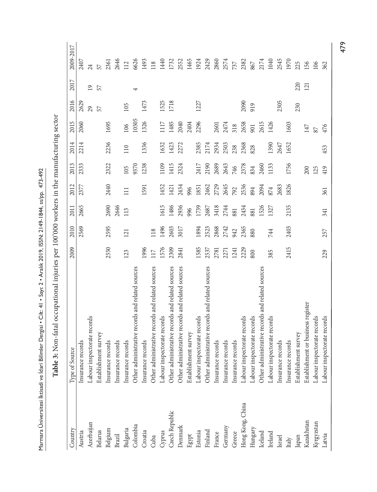| î<br>í                   |
|--------------------------|
| l                        |
| $\ddot{\phantom{a}}$     |
|                          |
| .<br>.<br>.              |
| I                        |
|                          |
| l                        |
|                          |
| i                        |
| ;<br>;<br>)              |
| l<br>ı                   |
|                          |
|                          |
|                          |
|                          |
| Ì                        |
| $\overline{a}$<br>₹<br>Ì |

**Table 3:** Non-fatal occupational injuries per 100'000 workers in the manufacturing sector

Table 3: Non-fatal occupational injuries per 100'000 workers in the manufacturing sector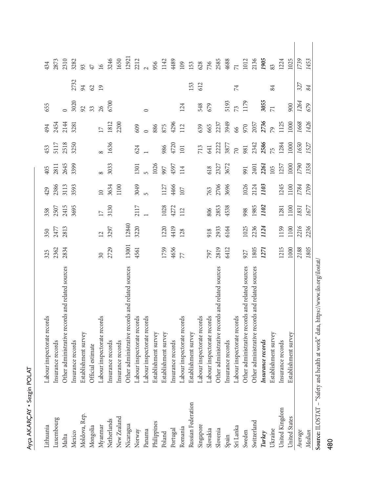| Lithuania                              | inspectorate records<br>Labour                                             | 325             | 350                     | 358             | 429          | 405          | 453            | 494                      | 655            |                 | 434            |
|----------------------------------------|----------------------------------------------------------------------------|-----------------|-------------------------|-----------------|--------------|--------------|----------------|--------------------------|----------------|-----------------|----------------|
| Luxembourg<br>Malta                    | Other administrative records and related sources<br>nce records<br>Insuran | 2362<br>2834    | 2477<br>2813            | 2415<br>2507    | 2386<br>3113 | 2645<br>2811 | 2518<br>5117   | 2144<br>2454             |                |                 | 2873<br>2310   |
| Mexico                                 | Insurance records                                                          |                 |                         | 3695            | 3593         | 3399         | 3250           | 3281                     | 3020           | 2732            | 3282           |
| Moldova, Rep.                          | Establishment survey                                                       |                 |                         |                 |              |              |                |                          | 92             | 94              | 93             |
| Mongolia                               | Official estimate                                                          |                 |                         |                 |              |              |                |                          | 33             | 62              | 47             |
| Myanmar                                | Labour inspectorate records                                                | $\overline{30}$ | $\overline{\mathbf{C}}$ | $\overline{17}$ | $\supseteq$  |              |                | $\overline{\phantom{0}}$ | 26             | $\overline{19}$ | 16             |
| Netherlands                            | Insurance records                                                          | 2729            | 3297                    | 3130            | 3634         | 3033         | 1636           | 1812                     | 6700           |                 | 3246           |
| New Zealand                            | Insurance records                                                          |                 |                         |                 | 1100         |              |                | 2200                     |                |                 | 1650           |
| Nicaragua                              | Other administrative records and related sources                           | 13001           | 12840                   |                 |              |              |                |                          |                |                 | 12921          |
| Norway                                 | Labour inspectorate records                                                | 4561            | 3220                    | 2117            | 3049         | 1301         | 624            | 609                      |                |                 | 2212           |
| Panama                                 | Labour inspectorate records                                                |                 |                         |                 |              |              |                |                          | 0              |                 |                |
| Philippines                            | Establishment survey                                                       |                 |                         |                 |              | 1026         |                | 886                      |                |                 | 956            |
| Poland                                 | Establishment survey                                                       | 1759            | 1220                    | 1028            | 1127         | 997          | 986            | 875                      |                |                 | 1142           |
| Portugal                               | Insurance records                                                          | 4656            | 4419                    | 4272            | 4466         | 4597         | 4720           | 4296                     |                |                 | 4489           |
| Romania                                | Labour inspectorate records                                                | 77              | 128                     | 112             | 107          | 114          | 101            | 112                      | 124            |                 | 109            |
| Russian Federation                     | Establishment survey                                                       |                 |                         |                 |              |              |                |                          |                | 153             | 153            |
| Singapore                              | inspectorate records<br>Labour                                             |                 |                         |                 |              |              | 713            | 639                      | 548            | 612             | 628            |
| Slovakia                               | Labour inspectorate records                                                | 797             | 918                     | 806             | 763          | 618          | 641            | 665                      | 679            |                 | 736            |
| Slovenia                               | Other administrative records and related sources                           | 2819            | 2933                    | 2853            | 2706         | 2327         | 2222           | 2237                     |                |                 | 2585           |
| Spain                                  | Insurance records                                                          | 6412            | 6164                    | 4538            | 3696         | 3672         | 3877           | 3949                     | 5193           |                 | 4688           |
| Sri Lanka                              | Labour inspectorate records                                                |                 |                         |                 |              |              | $\overline{0}$ | 8                        | 73             | 74              | $\overline{7}$ |
| Sweden                                 | Other administrative records and related sources                           | 927             | 1025                    | 998             | 1026         | 991          | 981            | 970                      | 1179           |                 | 1012           |
| Switzerland                            | Other administrative records and related sources                           | 1805            | 2236                    | 1985            | 2124         | 2401         | 2342           | 2057                     |                |                 | 2136           |
| Turkey                                 | Insurance records                                                          | 1271            | 1124                    | 1102            | 1103         | 2261         | 2586           | 2736                     | 3055           |                 | 1905           |
| Ukraine                                | Establishment survey                                                       |                 |                         |                 |              | 105          | 75             | $\mathcal{L}$            | $\overline{7}$ | 84              | 83             |
| United Kingdom                         | Insurance records                                                          | 1215            | 1159                    | 1281            | 1245         | 1257         | 1284           | 1125                     |                |                 | 1224           |
| United States                          | Establishment survey                                                       | 1000            | 1100                    | 1100            | 1100         | 1000         | 1000           | 1000                     | 900            |                 | 1025           |
| Average                                |                                                                            | 2188            | 2216                    | 1831            | 1784         | 1790         | 1650           | 1668                     | 1264           | 327             | 1739           |
| ec - C - t<br><b>TIOCTAT</b><br>Median | π<br>LI.<br>É                                                              | 1805            | 2236                    | 1677            | 1709         | 1358         | 1527           | 1426                     | 679            | 84              | 1453           |

Ayça AKARÇAY • Sezgin POLAT

Ayça AKARÇAY • Sezgin POLAT

Source: ILOSTAT – "Safety and health at work" data, https://www.ilo.org/ilostat/ **Source:** ILOSTAT – "Safety and health at work" data, https://www.ilo.org/ilostat/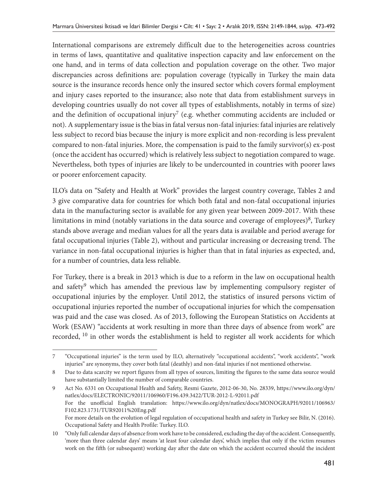International comparisons are extremely difficult due to the heterogeneities across countries in terms of laws, quantitative and qualitative inspection capacity and law enforcement on the one hand, and in terms of data collection and population coverage on the other. Two major discrepancies across definitions are: population coverage (typically in Turkey the main data source is the insurance records hence only the insured sector which covers formal employment and injury cases reported to the insurance; also note that data from establishment surveys in developing countries usually do not cover all types of establishments, notably in terms of size) and the definition of occupational injury<sup>7</sup> (e.g. whether commuting accidents are included or not). A supplementary issue is the bias in fatal versus non-fatal injuries: fatal injuries are relatively less subject to record bias because the injury is more explicit and non-recording is less prevalent compared to non-fatal injuries. More, the compensation is paid to the family survivor(s) ex-post (once the accident has occurred) which is relatively less subject to negotiation compared to wage. Nevertheless, both types of injuries are likely to be undercounted in countries with poorer laws or poorer enforcement capacity.

ILO's data on "Safety and Health at Work" provides the largest country coverage, Tables 2 and 3 give comparative data for countries for which both fatal and non-fatal occupational injuries data in the manufacturing sector is available for any given year between 2009-2017. With these limitations in mind (notably variations in the data source and coverage of employees) $\frac{8}{3}$ , Turkey stands above average and median values for all the years data is available and period average for fatal occupational injuries (Table 2), without and particular increasing or decreasing trend. The variance in non-fatal occupational injuries is higher than that in fatal injuries as expected, and, for a number of countries, data less reliable.

For Turkey, there is a break in 2013 which is due to a reform in the law on occupational health and safety<sup>9</sup> which has amended the previous law by implementing compulsory register of occupational injuries by the employer. Until 2012, the statistics of insured persons victim of occupational injuries reported the number of occupational injuries for which the compensation was paid and the case was closed. As of 2013, following the European Statistics on Accidents at Work (ESAW) "accidents at work resulting in more than three days of absence from work" are recorded, 10 in other words the establishment is held to register all work accidents for which

9 Act No. 6331 on Occupational Health and Safety, Resmi Gazete, 2012-06-30, No. 28339, https://www.ilo.org/dyn/ natlex/docs/ELECTRONIC/92011/106960/F196.439.3422/TUR-2012-L-92011.pdf For the unofficial English translation: https://www.ilo.org/dyn/natlex/docs/MONOGRAPH/92011/106963/ F102.823.1731/TUR92011%20Eng.pdf For more details on the evolution of legal regulation of occupational health and safety in Turkey see Bilir, N. (2016). Occupational Safety and Health Profile: Turkey. ILO.

<sup>7</sup> "Occupational injuries" is the term used by ILO, alternatively "occupational accidents", "work accidents", "work injuries" are synonyms, they cover both fatal (deathly) and non-fatal injuries if not mentioned otherwise.

<sup>8</sup> Due to data scarcity we report figures from all types of sources, limiting the figures to the same data source would have substantially limited the number of comparable countries.

<sup>10</sup> "Only full calendar days of absence from work have to be considered, excluding the day of the accident. Consequently, 'more than three calendar days' means 'at least four calendar days', which implies that only if the victim resumes work on the fifth (or subsequent) working day after the date on which the accident occurred should the incident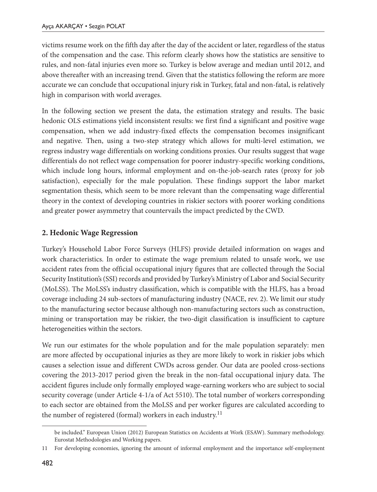victims resume work on the fifth day after the day of the accident or later, regardless of the status of the compensation and the case. This reform clearly shows how the statistics are sensitive to rules, and non-fatal injuries even more so. Turkey is below average and median until 2012, and above thereafter with an increasing trend. Given that the statistics following the reform are more accurate we can conclude that occupational injury risk in Turkey, fatal and non-fatal, is relatively high in comparison with world averages.

In the following section we present the data, the estimation strategy and results. The basic hedonic OLS estimations yield inconsistent results: we first find a significant and positive wage compensation, when we add industry-fixed effects the compensation becomes insignificant and negative. Then, using a two-step strategy which allows for multi-level estimation, we regress industry wage differentials on working conditions proxies. Our results suggest that wage differentials do not reflect wage compensation for poorer industry-specific working conditions, which include long hours, informal employment and on-the-job-search rates (proxy for job satisfaction), especially for the male population. These findings support the labor market segmentation thesis, which seem to be more relevant than the compensating wage differential theory in the context of developing countries in riskier sectors with poorer working conditions and greater power asymmetry that countervails the impact predicted by the CWD.

## **2. Hedonic Wage Regression**

Turkey's Household Labor Force Surveys (HLFS) provide detailed information on wages and work characteristics. In order to estimate the wage premium related to unsafe work, we use accident rates from the official occupational injury figures that are collected through the Social Security Institution's (SSI) records and provided by Turkey's Ministry of Labor and Social Security (MoLSS). The MoLSS's industry classification, which is compatible with the HLFS, has a broad coverage including 24 sub-sectors of manufacturing industry (NACE, rev. 2). We limit our study to the manufacturing sector because although non-manufacturing sectors such as construction, mining or transportation may be riskier, the two-digit classification is insufficient to capture heterogeneities within the sectors.

We run our estimates for the whole population and for the male population separately: men are more affected by occupational injuries as they are more likely to work in riskier jobs which causes a selection issue and different CWDs across gender. Our data are pooled cross-sections covering the 2013-2017 period given the break in the non-fatal occupational injury data. The accident figures include only formally employed wage-earning workers who are subject to social security coverage (under Article 4-1/a of Act 5510). The total number of workers corresponding to each sector are obtained from the MoLSS and per worker figures are calculated according to the number of registered (formal) workers in each industry.<sup>11</sup>

be included." European Union (2012) European Statistics on Accidents at Work (ESAW). Summary methodology. Eurostat Methodologies and Working papers.

<sup>11</sup> For developing economies, ignoring the amount of informal employment and the importance self-employment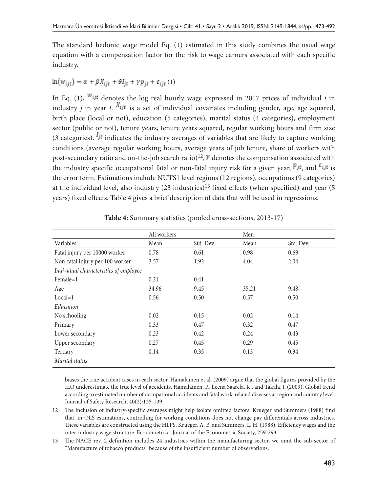The standard hedonic wage model Eq. (1) estimated in this study combines the usual wage equation with a compensation factor for the risk to wage earners associated with each specific industry.

## $\ln(w_{ijt}) = \alpha + \beta X_{ijt} + \theta I_{it} + \gamma p_{it} + \varepsilon_{ijt}(1)$

In Eq. (1),  $W_{ijt}$  denotes the log real hourly wage expressed in 2017 prices of individual *i* in industry *i* in year *t*.  $X_{ijt}$  is a set of individual covariates including gender, age, age squared, birth place (local or not), education (5 categories), marital status (4 categories), employment sector (public or not), tenure years, tenure years squared, regular working hours and firm size (3 categories).  $I_{jt}$  indicates the industry averages of variables that are likely to capture working conditions (average regular working hours, average years of job tenure, share of workers with post-secondary ratio and on-the-job search ratio)<sup>12</sup>,  $\gamma$  denotes the compensation associated with the industry specific occupational fatal or non-fatal injury risk for a given year,  $\frac{p_{jt}}{t}$ , and  $\frac{\varepsilon_{ijt}}{t}$  is the error term. Estimations include NUTS1 level regions (12 regions), occupations (9 categories) at the individual level, also industry  $(23 \text{ industries})^{13}$  fixed effects (when specified) and year (5) years) fixed effects. Table 4 gives a brief description of data that will be used in regressions.

|                                        | All workers |           | Men   |           |
|----------------------------------------|-------------|-----------|-------|-----------|
| Variables                              | Mean        | Std. Dev. | Mean  | Std. Dev. |
| Fatal injury per 10000 worker          | 0.78        | 0.61      | 0.98  | 0.69      |
| Non-fatal injury per 100 worker        | 3.57        | 1.92      | 4.04  | 2.04      |
| Individual characteristics of employee |             |           |       |           |
| $Female=1$                             | 0.21        | 0.41      |       |           |
| Age                                    | 34.96       | 9.45      | 35.21 | 9.48      |
| $Local=1$                              | 0.56        | 0.50      | 0.57  | 0.50      |
| Education                              |             |           |       |           |
| No schooling                           | 0.02        | 0.15      | 0.02  | 0.14      |
| Primary                                | 0.33        | 0.47      | 0.32  | 0.47      |
| Lower secondary                        | 0.23        | 0.42      | 0.24  | 0.43      |
| Upper secondary                        | 0.27        | 0.45      | 0.29  | 0.45      |
| Tertiary                               | 0.14        | 0.35      | 0.13  | 0.34      |
| Marital status                         |             |           |       |           |

biases the true accident cases in each sector. Hamalainen et al. (2009) argue that the global figures provided by the ILO underestimate the true level of accidents. Hamalainen, P., Leena Saarela, K., and Takala, J. (2009). Global trend according to estimated number of occupational accidents and fatal work-related diseases at region and country level. Journal of Safety Research, 40(2):125-139.

12 The inclusion of industry-specific averages might help isolate omitted factors. Krueger and Summers (1988) find that, in OLS estimations, controlling for working conditions does not change pay differentials across industries. These variables are constructed using the HLFS. Krueger, A. B. and Summers, L. H. (1988). Efficiency wages and the inter-industry wage structure. Econometrica. Journal of the Econometric Society, 259-293.

13 The NACE rev. 2 definition includes 24 industries within the manufacturing sector, we omit the sub-sector of "Manufacture of tobacco products" because of the insufficient number of observations.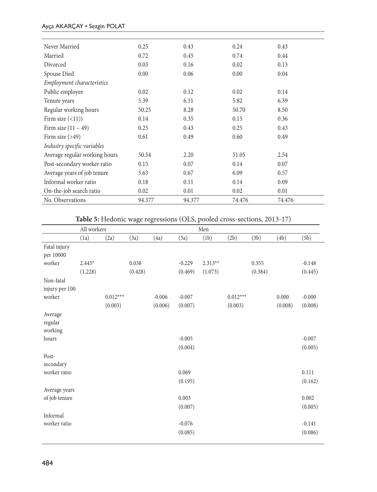### Ayça AKARÇAY • Sezgin POLAT

| 0.25   | 0.43   | 0.24   | 0.43   |
|--------|--------|--------|--------|
| 0.72   | 0.45   | 0.74   | 0.44   |
| 0.03   | 0.16   | 0.02   | 0.13   |
| 0.00   | 0.06   | 0.00   | 0.04   |
|        |        |        |        |
| 0.02   | 0.12   | 0.02   | 0.14   |
| 5.39   | 6.11   | 5.82   | 6.39   |
| 50.25  | 8.28   | 50.70  | 8.50   |
| 0.14   | 0.35   | 0.15   | 0.36   |
| 0.25   | 0.43   | 0.25   | 0.43   |
| 0.61   | 0.49   | 0.60   | 0.49   |
|        |        |        |        |
| 50.54  | 2.20   | 51.05  | 2.54   |
| 0.15   | 0.07   | 0.14   | 0.07   |
| 5.63   | 0.67   | 6.09   | 0.57   |
| 0.18   | 0.11   | 0.14   | 0.09   |
| 0.02   | 0.01   | 0.02   | 0.01   |
| 94.377 | 94.377 | 74.476 | 74.476 |
|        |        |        |        |

**Table 5:** Hedonic wage regressions (OLS, pooled cross-sections, 2013-17)

|                               | All workers |            |         |          |          | Men       |            |         |         |          |
|-------------------------------|-------------|------------|---------|----------|----------|-----------|------------|---------|---------|----------|
|                               | (1a)        | (2a)       | (3a)    | (4a)     | (5a)     | (1b)      | (2b)       | (3b)    | (4b)    | (5b)     |
| Fatal injury<br>per 10000     |             |            |         |          |          |           |            |         |         |          |
| worker                        | $2.445*$    |            | 0.038   |          | $-0.229$ | $2.313**$ |            | 0.355   |         | $-0.148$ |
|                               | (1.228)     |            | (0.428) |          | (0.469)  | (1.073)   |            | (0.384) |         | (0.445)  |
| Non-fatal<br>injury per 100   |             |            |         |          |          |           |            |         |         |          |
| worker                        |             | $0.012***$ |         | $-0.006$ | $-0.007$ |           | $0.012***$ |         | 0.000   | $-0.000$ |
|                               |             | (0.003)    |         | (0.006)  | (0.007)  |           | (0.003)    |         | (0.008) | (0.008)  |
| Average<br>regular<br>working |             |            |         |          |          |           |            |         |         |          |
| hours                         |             |            |         |          | $-0.005$ |           |            |         |         | $-0.007$ |
|                               |             |            |         |          | (0.004)  |           |            |         |         | (0.005)  |
| Post-<br>secondary            |             |            |         |          |          |           |            |         |         |          |
| worker ratio                  |             |            |         |          | 0.069    |           |            |         |         | 0.111    |
|                               |             |            |         |          | (0.195)  |           |            |         |         | (0.162)  |
| Average years                 |             |            |         |          |          |           |            |         |         |          |
| of job tenure                 |             |            |         |          | 0.003    |           |            |         |         | 0.002    |
|                               |             |            |         |          | (0.007)  |           |            |         |         | (0.005)  |
| Informal                      |             |            |         |          |          |           |            |         |         |          |
| worker ratio                  |             |            |         |          | $-0.076$ |           |            |         |         | $-0.141$ |
|                               |             |            |         |          | (0.085)  |           |            |         |         | (0.086)  |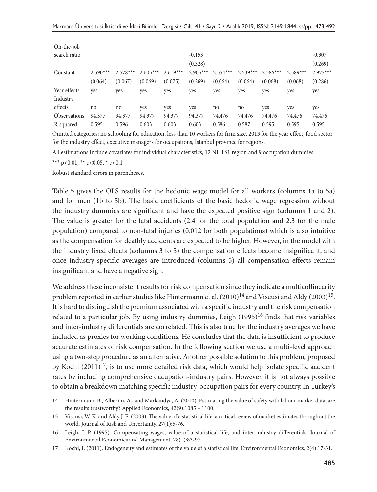| $On$ -the-job<br>search ratio |                       |                       |                       |                       | $-0.153$<br>(0.328)   |                       |                       |                       |                       | $-0.307$<br>(0.269)   |
|-------------------------------|-----------------------|-----------------------|-----------------------|-----------------------|-----------------------|-----------------------|-----------------------|-----------------------|-----------------------|-----------------------|
| Constant                      | $2.590***$<br>(0.064) | $2.578***$<br>(0.067) | $2.605***$<br>(0.069) | $2.619***$<br>(0.075) | $2.905***$<br>(0.269) | $2.554***$<br>(0.064) | $2.539***$<br>(0.064) | $2.586***$<br>(0.068) | $2.589***$<br>(0.068) | $2.977***$<br>(0.286) |
| Year effects                  | yes                   | yes                   | yes                   | yes                   | yes                   | yes                   | yes                   | yes                   | yes                   | yes                   |
| Industry                      |                       |                       |                       |                       |                       |                       |                       |                       |                       |                       |
| effects                       | no                    | no                    | yes                   | yes                   | yes                   | no                    | no                    | yes                   | yes                   | yes                   |
| <b>Observations</b>           | 94,377                | 94,377                | 94,377                | 94,377                | 94,377                | 74,476                | 74,476                | 74,476                | 74,476                | 74,476                |
| R-squared                     | 0.595                 | 0.596                 | 0.603                 | 0.603                 | 0.603                 | 0.586                 | 0.587                 | 0.595                 | 0.595                 | 0.595                 |

Omitted categories: no schooling for education, less than 10 workers for firm size, 2013 for the year effect, food sector for the industry effect, executive managers for occupations, Istanbul province for regions.

All estimations include covariates for individual characteristics, 12 NUTS1 region and 9 occupation dummies.

\*\*\* p<0.01, \*\* p<0.05, \* p<0.1

Robust standard errors in parentheses.

Table 5 gives the OLS results for the hedonic wage model for all workers (columns 1a to 5a) and for men (1b to 5b). The basic coefficients of the basic hedonic wage regression without the industry dummies are significant and have the expected positive sign (columns 1 and 2). The value is greater for the fatal accidents (2.4 for the total population and 2.3 for the male population) compared to non-fatal injuries (0.012 for both populations) which is also intuitive as the compensation for deathly accidents are expected to be higher. However, in the model with the industry fixed effects (columns 3 to 5) the compensation effects become insignificant, and once industry-specific averages are introduced (columns 5) all compensation effects remain insignificant and have a negative sign.

We address these inconsistent results for risk compensation since they indicate a multicollinearity problem reported in earlier studies like Hintermann et al. (2010)<sup>14</sup> and Viscusi and Aldy (2003)<sup>15</sup>. It is hard to distinguish the premium associated with a specific industry and the risk compensation related to a particular job. By using industry dummies, Leigh (1995)<sup>16</sup> finds that risk variables and inter-industry differentials are correlated. This is also true for the industry averages we have included as proxies for working conditions. He concludes that the data is insufficient to produce accurate estimates of risk compensation. In the following section we use a multi-level approach using a two-step procedure as an alternative. Another possible solution to this problem, proposed by Kochi (2011)<sup>17</sup>, is to use more detailed risk data, which would help isolate specific accident rates by including comprehensive occupation-industry pairs. However, it is not always possible to obtain a breakdown matching specific industry-occupation pairs for every country. In Turkey's

<sup>14</sup> Hintermann, B., Alberini, A., and Markandya, A. (2010). Estimating the value of safety with labour market data: are the results trustworthy? Applied Economics, 42(9):1085 – 1100.

<sup>15</sup> Viscusi, W. K. and Aldy J. E. (2003). The value of a statistical life: a critical review of market estimates throughout the world. Journal of Risk and Uncertainty, 27(1):5-76.

<sup>16</sup> Leigh, J. P. (1995). Compensating wages, value of a statistical life, and inter-industry differentials. Journal of Environmental Economics and Management, 28(1):83-97.

<sup>17</sup> Kochi, I. (2011). Endogeneity and estimates of the value of a statistical life. Environmental Economics, 2(4):17-31.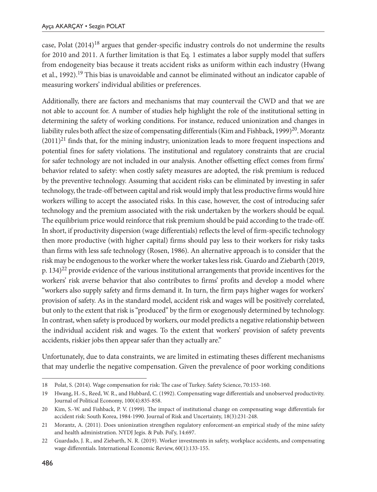case, Polat (2014)18 argues that gender-specific industry controls do not undermine the results for 2010 and 2011. A further limitation is that Eq. 1 estimates a labor supply model that suffers from endogeneity bias because it treats accident risks as uniform within each industry (Hwang et al., 1992).19 This bias is unavoidable and cannot be eliminated without an indicator capable of measuring workers' individual abilities or preferences.

Additionally, there are factors and mechanisms that may countervail the CWD and that we are not able to account for. A number of studies help highlight the role of the institutional setting in determining the safety of working conditions. For instance, reduced unionization and changes in liability rules both affect the size of compensating differentials (Kim and Fishback, 1999)<sup>20</sup>. Morantz  $(2011)^{21}$  finds that, for the mining industry, unionization leads to more frequent inspections and potential fines for safety violations. The institutional and regulatory constraints that are crucial for safer technology are not included in our analysis. Another offsetting effect comes from firms' behavior related to safety: when costly safety measures are adopted, the risk premium is reduced by the preventive technology. Assuming that accident risks can be eliminated by investing in safer technology, the trade-off between capital and risk would imply that less productive firms would hire workers willing to accept the associated risks. In this case, however, the cost of introducing safer technology and the premium associated with the risk undertaken by the workers should be equal. The equilibrium price would reinforce that risk premium should be paid according to the trade-off. In short, if productivity dispersion (wage differentials) reflects the level of firm-specific technology then more productive (with higher capital) firms should pay less to their workers for risky tasks than firms with less safe technology (Rosen, 1986). An alternative approach is to consider that the risk may be endogenous to the worker where the worker takes less risk. Guardo and Ziebarth (2019, p.  $134)^{22}$  provide evidence of the various institutional arrangements that provide incentives for the workers' risk averse behavior that also contributes to firms' profits and develop a model where "workers also supply safety and firms demand it. In turn, the firm pays higher wages for workers' provision of safety. As in the standard model, accident risk and wages will be positively correlated, but only to the extent that risk is "produced" by the firm or exogenously determined by technology. In contrast, when safety is produced by workers, our model predicts a negative relationship between the individual accident risk and wages. To the extent that workers' provision of safety prevents accidents, riskier jobs then appear safer than they actually are."

Unfortunately, due to data constraints, we are limited in estimating theses different mechanisms that may underlie the negative compensation. Given the prevalence of poor working conditions

<sup>18</sup> Polat, S. (2014). Wage compensation for risk: The case of Turkey. Safety Science, 70:153-160.

<sup>19</sup> Hwang, H.-S., Reed, W. R., and Hubbard, C. (1992). Compensating wage differentials and unobserved productivity. Journal of Political Economy, 100(4):835-858.

<sup>20</sup> Kim, S.-W. and Fishback, P. V. (1999). The impact of institutional change on compensating wage differentials for accident risk: South Korea, 1984-1990. Journal of Risk and Uncertainty, 18(3):231-248.

<sup>21</sup> Morantz, A. (2011). Does unionization strengthen regulatory enforcement-an empirical study of the mine safety and health administration. NYDJ Jegis. & Pub. Pol'y, 14:697.

<sup>22</sup> Guardado, J. R., and Ziebarth, N. R. (2019). Worker investments in safety, workplace accidents, and compensating wage differentials. International Economic Review, 60(1):133-155.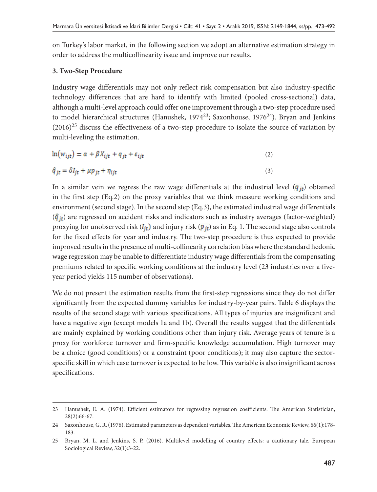on Turkey's labor market, in the following section we adopt an alternative estimation strategy in order to address the multicollinearity issue and improve our results.

### **3. Two-Step Procedure**

Industry wage differentials may not only reflect risk compensation but also industry-specific technology differences that are hard to identify with limited (pooled cross-sectional) data, although a multi-level approach could offer one improvement through a two-step procedure used to model hierarchical structures (Hanushek, 1974<sup>23</sup>; Saxonhouse, 1976<sup>24</sup>). Bryan and Jenkins  $(2016)^{25}$  discuss the effectiveness of a two-step procedure to isolate the source of variation by multi-leveling the estimation.

$$
\ln(w_{ijt}) = \alpha + \beta X_{ijt} + q_{jt} + \varepsilon_{ijt} \tag{2}
$$

$$
\hat{q}_{jt} = \delta I_{jt} + \mu p_{jt} + \eta_{ijt} \tag{3}
$$

In a similar vein we regress the raw wage differentials at the industrial level  $(q_{it})$  obtained in the first step (Eq.2) on the proxy variables that we think measure working conditions and environment (second stage). In the second step (Eq.3), the estimated industrial wage differentials  $(\hat{q}_{it})$  are regressed on accident risks and indicators such as industry averages (factor-weighted) proxying for unobserved risk ( $l_{it}$ ) and injury risk ( $p_{it}$ ) as in Eq. 1. The second stage also controls for the fixed effects for year and industry. The two-step procedure is thus expected to provide improved results in the presence of multi-collinearity correlation bias where the standard hedonic wage regression may be unable to differentiate industry wage differentials from the compensating premiums related to specific working conditions at the industry level (23 industries over a fiveyear period yields 115 number of observations).

We do not present the estimation results from the first-step regressions since they do not differ significantly from the expected dummy variables for industry-by-year pairs. Table 6 displays the results of the second stage with various specifications. All types of injuries are insignificant and have a negative sign (except models 1a and 1b). Overall the results suggest that the differentials are mainly explained by working conditions other than injury risk. Average years of tenure is a proxy for workforce turnover and firm-specific knowledge accumulation. High turnover may be a choice (good conditions) or a constraint (poor conditions); it may also capture the sectorspecific skill in which case turnover is expected to be low. This variable is also insignificant across specifications.

<sup>23</sup> Hanushek, E. A. (1974). Efficient estimators for regressing regression coefficients. The American Statistician, 28(2):66-67.

<sup>24</sup> Saxonhouse, G. R. (1976). Estimated parameters as dependent variables. The American Economic Review, 66(1):178- 183.

<sup>25</sup> Bryan, M. L. and Jenkins, S. P. (2016). Multilevel modelling of country effects: a cautionary tale. European Sociological Review, 32(1):3-22.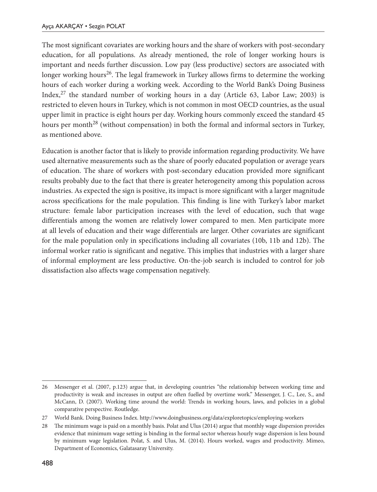The most significant covariates are working hours and the share of workers with post-secondary education, for all populations. As already mentioned, the role of longer working hours is important and needs further discussion. Low pay (less productive) sectors are associated with longer working hours<sup>26</sup>. The legal framework in Turkey allows firms to determine the working hours of each worker during a working week. According to the World Bank's Doing Business Index, $27$  the standard number of working hours in a day (Article 63, Labor Law; 2003) is restricted to eleven hours in Turkey, which is not common in most OECD countries, as the usual upper limit in practice is eight hours per day. Working hours commonly exceed the standard 45 hours per month<sup>28</sup> (without compensation) in both the formal and informal sectors in Turkey, as mentioned above.

Education is another factor that is likely to provide information regarding productivity. We have used alternative measurements such as the share of poorly educated population or average years of education. The share of workers with post-secondary education provided more significant results probably due to the fact that there is greater heterogeneity among this population across industries. As expected the sign is positive, its impact is more significant with a larger magnitude across specifications for the male population. This finding is line with Turkey's labor market structure: female labor participation increases with the level of education, such that wage differentials among the women are relatively lower compared to men. Men participate more at all levels of education and their wage differentials are larger. Other covariates are significant for the male population only in specifications including all covariates (10b, 11b and 12b). The informal worker ratio is significant and negative. This implies that industries with a larger share of informal employment are less productive. On-the-job search is included to control for job dissatisfaction also affects wage compensation negatively.

<sup>26</sup> Messenger et al. (2007, p.123) argue that, in developing countries "the relationship between working time and productivity is weak and increases in output are often fuelled by overtime work." Messenger, J. C., Lee, S., and McCann, D. (2007). Working time around the world: Trends in working hours, laws, and policies in a global comparative perspective. Routledge.

<sup>27</sup> World Bank. Doing Business Index. http://www.doingbusiness.org/data/exploretopics/employing-workers

<sup>28</sup> The minimum wage is paid on a monthly basis. Polat and Ulus (2014) argue that monthly wage dispersion provides evidence that minimum wage setting is binding in the formal sector whereas hourly wage dispersion is less bound by minimum wage legislation. Polat, S. and Ulus, M. (2014). Hours worked, wages and productivity. Mimeo, Department of Economics, Galatasaray University.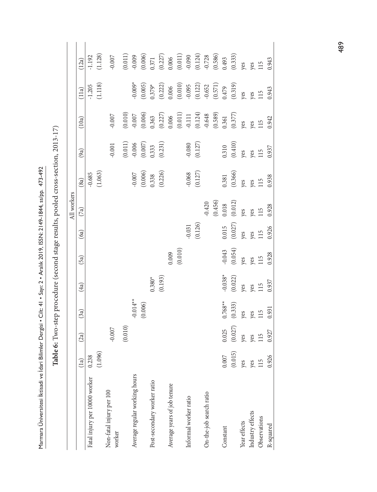Marmara Üniversitesi İktisadi ve İdari Bilimler Dergisi • Cilt: 41 • Sayı: 2 • Aralık 2019, ISSN: 2149-1844, ss/pp. 473-492 Marmara Üniversitesi İktisadi ve İdari Bilimler Dergisi • Cilt: 41 • Sayı: 2 • Aralık 2019, ISSN: 2149-1844, ss/pp. 473-492

 $(0.011)$  $(0.124)$  $(1.128)$  $(0.006)$  $(0.227)$  $(0.011)$  $(0.586)$  $(0.333)$  $-1.192$  $-0.007$  $-0.009$  $-0.090$  $-0.728$ (1.096) (1.028) (1.028) (1.028) (1.028) (1.028) (1.028) (1.028) (1.028) (1.128) (1.128) (1.128) (1.128) (1.128 (10.010) (0.010.01) (0.010.011) (0.010.011) (0.010) (0.010.011) (0.010.011) (0.010.011) (0.010.011) (0.010.011 (0.006) (0.0070) (0.0070) (0.0070) (0.0070) (0.0070) (0.007070) (0.007070707070707070707070707070707 0.371  $(0.193)$   $(0.227)$   $(0.231)$   $(0.231)$   $(0.227)$   $(0.222)$ 0.006 (0.01010) (0.01010) (1.01010) (0.01010) (0.01010) (0.01010) (0.01010) (0.011) (0.011) (0.011) (0.01  $(0.126)$   $(0.127)$   $(0.127)$   $(0.124)$   $(0.122)$   $(0.124)$  $(0.456)$   $(0.589)$   $(0.571)$   $(0.586)$ 0.493 (0.015) (0.027) (0.333) (0.022) (0.054) (0.027) (0.012) (0.366) (0.410) (0.377) (0.319) (0.333) 0.943  $(12a)$ Fatal injury per 10000 worker 0.238 -1.192 -0.685 -1.2020 -0.685 -1.2020 -0.685 -1.2020 -1.2020 -1.192 worker -0.007 -0.001 -0.007 -0.007 Average regular working hours -0.014\*\* -0.007 -0.006 -0.007 -0.009\* -0.009 Informal worker ratio -0.031 -0.068 -0.080 -0.111 -0.095 -0.090 On-the-job search ratio -0.420 -0.648 -0.652 -0.728 Post-secondary worker ratio 0.371 0.372 0.380\* 0.380 0.338 0.338 0.333 0.333 0.363 0.379\* 0.3771 0.371 Average years of job tenure 0.006 0.006 0.006 0.006 0.009 0.009 0.009 0.009 0.006 0.006 0.006 0.006 0.006 0.006 Constant 0.025 0.025 0.025 0.025 0.025 0.025 0.025 0.025 0.026 0.7625 0.0281 0.321 0.3210 0.325 0.479 0.325 0. P\$10.927 0.927 0.927 0.9261 0.9261 0.928 0.928 0.9281 0.9281 0.928 0.928 0.928 0.928 0.928 0.928 0.943 0.943 0 (1a) (2a) (3a) (4a) (5a) (6a) (7a) (8a) (9a) (10a) (11a) (12a) res yes  $115$ Observations 115 115 115 115 115 115 115 115 115 115 115 115 Year effects yes yes yes yes yes yes yes yes yes yes yes yes Industry effects yes yes yes yes yes yes yes yes yes yes yes yes  $-0.009*$  $(0.571)$  $(0.319)$  $(1.118)$  $(0.005)$  $0.379*$  $(0.222)$  $(0.010)$  $(0.122)$  $-0.652$  $-1.205$  $-0.095$ 0.006 0.479 0.943  $(11a)$ yes 115 yes  $(0.010)$  $(0.006)$  $(0.124)$  $(0.589)$  $(0.227)$  $(0.011)$  $-0.648$  $-0.007$  $-0.007$  $-0.111$  $(0.377)$ 0.363 0.006 0.361 0.942  $(10a)$ ves ves  $115$ Table 6: Two-step procedure (second stage results, pooled cross-section, 2013-17) **Table 6:** Two-step procedure (second stage results, pooled cross-section, 2013-17)  $(0.011)$  $(0.007)$  $(0.231)$  $(0.127)$  $(0.410)$  $-0.006$  $0.080$  $-0.001$ 0.333 0.310 0.937 res 115  $(9a)$ yes  $(1.063)$  $(0.006)$  $(0.226)$  $(0.127)$  $(0.366)$  $-0.685$  $-0.007$  $-0.068$ 0.338 0.381 0.938  $(8a)$ yes 115 ves All workers All workers  $(0.456)$  $(0.012)$  $-0.420$ 0.018 0.928  $(7a)$ res 115 yes  $(0.126)$  $(0.027)$  $-0.031$ 0.015 0.926 115  $(6a)$ es res  $(0.010)$  $-0.043$  $(0.054)$ 0.009 0.928  $(5a)$ res yes 115  $(0.193)$  $-0.038*$  $(0.022)$  $0.380*$ 0.937  $115$  $(4a)$ ves res  $-0.014**$  $0.768**$  $(0.333)$  $(0.006)$ 0.931  $(3a)$ ves ves 115  $(0.027)$  $(0.010)$  $-0.007$ 0.025 0.927  $(2a)$ ves 115 ves  $(1.096)$  $(0.015)$  $0.007$ 0.238 0.926  $(1a)$ res yes 115 Average regular working hours Fatal injury per 10000 worker Post-secondary worker ratio Average years of job tenure Non-fatal injury per 100 Non-fatal injury per 100 On-the-job search ratio Informal worker ratio Industry effects Observations Year effects R-squared  $\mbox{Constant}$ worker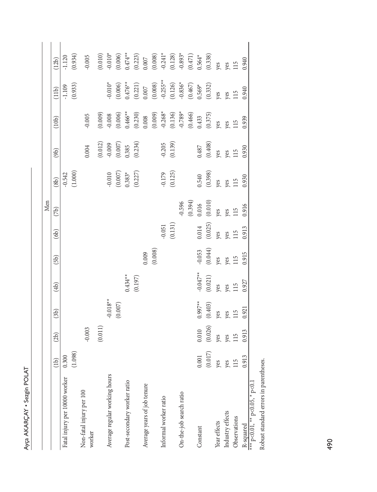| ١<br>Þ           |
|------------------|
| €<br>í<br>è<br>2 |
|                  |

|                                         |                   |                                |                                |                                |                                          |                                                | Men                                                          |                                                                        |                                                            |                                                                                                                                                                                |                                                                                                                                                                                        |                                                                                                                                                                                                                        |
|-----------------------------------------|-------------------|--------------------------------|--------------------------------|--------------------------------|------------------------------------------|------------------------------------------------|--------------------------------------------------------------|------------------------------------------------------------------------|------------------------------------------------------------|--------------------------------------------------------------------------------------------------------------------------------------------------------------------------------|----------------------------------------------------------------------------------------------------------------------------------------------------------------------------------------|------------------------------------------------------------------------------------------------------------------------------------------------------------------------------------------------------------------------|
|                                         | (1b)              | (2b)                           | (3b)                           | $\left( 4b\right)$             | (5b)                                     | (6b)                                           | (7b)                                                         | (8b)                                                                   | (9b)                                                       | (10b)                                                                                                                                                                          | (11b)                                                                                                                                                                                  | (12b)                                                                                                                                                                                                                  |
| Fatal injury per 10000 worker           | 0.300             |                                |                                |                                |                                          |                                                |                                                              |                                                                        |                                                            |                                                                                                                                                                                | 1.109                                                                                                                                                                                  | 1.120                                                                                                                                                                                                                  |
|                                         | (1.098)           |                                |                                |                                |                                          |                                                |                                                              | $-0.542$<br>(1.000)                                                    |                                                            |                                                                                                                                                                                | (0.933)                                                                                                                                                                                | (934)                                                                                                                                                                                                                  |
| Non-fatal injury per 100<br>worker      |                   | $-0.003$                       |                                |                                |                                          |                                                |                                                              |                                                                        | $0.004$                                                    | 0.005                                                                                                                                                                          |                                                                                                                                                                                        | 0.005                                                                                                                                                                                                                  |
|                                         |                   | (0.011)                        |                                |                                |                                          |                                                |                                                              |                                                                        |                                                            | $(0.009)$<br>$-0.008$<br>$(0.006)$<br>$(0.008)$<br>$(0.230)$<br>$-0.268*$<br>$-0.268*$<br>$-0.268*$<br>$-0.268*$<br>$(0.466)$<br>$(0.466)$<br>$(0.463)$<br>$(0.375)$<br>$y$ es |                                                                                                                                                                                        | $\begin{array}{l} (0.010)\\ -0.010^{*}\\ 0.474^{*}\\ (0.223)\\ 0.0007\\ (0.0007)\\ -0.241^{*}\\ (0.128)\\ -0.893^{*}\\ (0.471)\\ 0.564^{*}\\ (0.471)\\ 0.564^{*}\\ (0.38)\\ \text{yes}\\ \text{yes}\\ 115 \end{array}$ |
| Average regular working hours           |                   |                                |                                |                                |                                          |                                                |                                                              |                                                                        |                                                            |                                                                                                                                                                                |                                                                                                                                                                                        |                                                                                                                                                                                                                        |
|                                         |                   |                                | $0.018**$<br>(0.007)           |                                |                                          |                                                |                                                              | $\begin{array}{l} -0.010 \\ (0.007) \\ 0.383^* \\ (0.227) \end{array}$ | $(0.012)$<br>$-0.009$<br>$(0.007)$<br>$0.385$<br>$(0.234)$ |                                                                                                                                                                                |                                                                                                                                                                                        |                                                                                                                                                                                                                        |
| Post-secondary worker ratio             |                   |                                |                                |                                |                                          |                                                |                                                              |                                                                        |                                                            |                                                                                                                                                                                |                                                                                                                                                                                        |                                                                                                                                                                                                                        |
|                                         |                   |                                |                                | $0.434**$<br>(0.197)           |                                          |                                                |                                                              |                                                                        |                                                            |                                                                                                                                                                                |                                                                                                                                                                                        |                                                                                                                                                                                                                        |
| Average years of job tenure             |                   |                                |                                |                                |                                          |                                                |                                                              |                                                                        |                                                            |                                                                                                                                                                                |                                                                                                                                                                                        |                                                                                                                                                                                                                        |
|                                         |                   |                                |                                |                                | (0.009)                                  |                                                |                                                              |                                                                        |                                                            |                                                                                                                                                                                |                                                                                                                                                                                        |                                                                                                                                                                                                                        |
| Informal worker ratio                   |                   |                                |                                |                                |                                          | 0.051                                          |                                                              |                                                                        |                                                            |                                                                                                                                                                                |                                                                                                                                                                                        |                                                                                                                                                                                                                        |
|                                         |                   |                                |                                |                                |                                          | (0.131)                                        |                                                              | $-0.179$<br>(0.125)                                                    | $-0.205$<br>(0.139)                                        |                                                                                                                                                                                |                                                                                                                                                                                        |                                                                                                                                                                                                                        |
| On-the-job search ratio                 |                   |                                |                                |                                |                                          |                                                |                                                              |                                                                        |                                                            |                                                                                                                                                                                |                                                                                                                                                                                        |                                                                                                                                                                                                                        |
|                                         |                   |                                |                                |                                |                                          |                                                |                                                              |                                                                        |                                                            |                                                                                                                                                                                |                                                                                                                                                                                        |                                                                                                                                                                                                                        |
| Constant                                | 0.001             | 0.10                           | $0.997**$                      | $-0.047**$                     |                                          |                                                |                                                              |                                                                        |                                                            |                                                                                                                                                                                |                                                                                                                                                                                        |                                                                                                                                                                                                                        |
|                                         | (0.017)           |                                |                                |                                |                                          |                                                |                                                              |                                                                        |                                                            |                                                                                                                                                                                |                                                                                                                                                                                        |                                                                                                                                                                                                                        |
| Year effects                            | yes<br>yes<br>115 | $(0.026)$<br>yes<br>yes<br>115 | $(0.403)$<br>yes<br>yes<br>115 | $(0.021)$<br>yes<br>yes<br>115 | $-0.053$<br>(0.044)<br>yes<br>yes<br>yes | $\frac{(0.014)}{(0.025)}$<br>yes<br>yes<br>115 | $-0.596$<br>(0.394)<br>0.016<br>(0.010)<br>yes<br>yes<br>yes | $0.540$<br>(0.398)<br>yes<br>yes<br>yes                                | $0.487$<br>(0.408)<br>yes<br>yes<br>yes                    |                                                                                                                                                                                | $-0.010^*$<br>$(0.006)$<br>$(0.476^{**}$<br>$(0.221)$<br>$(0.007$<br>$-0.255^{**}$<br>$-0.255^{**}$<br>$-0.3836^{*}$<br>$(0.467)$<br>$(0.467)$<br>$(0.699^{*}$<br>$(0.332)$<br>$y$ pes |                                                                                                                                                                                                                        |
| Industry effects                        |                   |                                |                                |                                |                                          |                                                |                                                              |                                                                        |                                                            |                                                                                                                                                                                |                                                                                                                                                                                        |                                                                                                                                                                                                                        |
| Observations                            |                   |                                |                                |                                |                                          |                                                |                                                              |                                                                        |                                                            |                                                                                                                                                                                |                                                                                                                                                                                        |                                                                                                                                                                                                                        |
| R-squared                               | 0.913             | 0.913                          | 0.921                          | 0.927                          | 0.915                                    | 0.913                                          | 0.916                                                        | 0.930                                                                  | 0.930                                                      | 0.939                                                                                                                                                                          | 0.940                                                                                                                                                                                  | 0.940                                                                                                                                                                                                                  |
| *** $p$ <0.01, ** $p$ <0.05, * $p$ <0.1 |                   |                                |                                |                                |                                          |                                                |                                                              |                                                                        |                                                            |                                                                                                                                                                                |                                                                                                                                                                                        |                                                                                                                                                                                                                        |

Robust standard errors in parentheses. Robust standard errors in parentheses.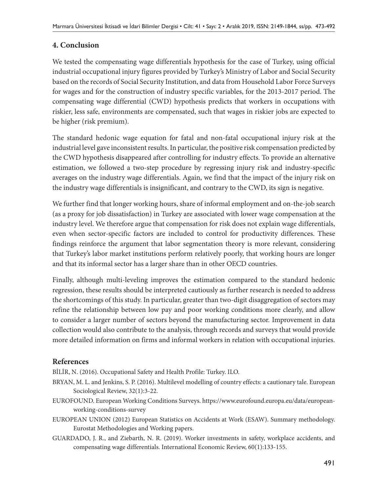### **4. Conclusion**

We tested the compensating wage differentials hypothesis for the case of Turkey, using official industrial occupational injury figures provided by Turkey's Ministry of Labor and Social Security based on the records of Social Security Institution, and data from Household Labor Force Surveys for wages and for the construction of industry specific variables, for the 2013-2017 period. The compensating wage differential (CWD) hypothesis predicts that workers in occupations with riskier, less safe, environments are compensated, such that wages in riskier jobs are expected to be higher (risk premium).

The standard hedonic wage equation for fatal and non-fatal occupational injury risk at the industrial level gave inconsistent results. In particular, the positive risk compensation predicted by the CWD hypothesis disappeared after controlling for industry effects. To provide an alternative estimation, we followed a two-step procedure by regressing injury risk and industry-specific averages on the industry wage differentials. Again, we find that the impact of the injury risk on the industry wage differentials is insignificant, and contrary to the CWD, its sign is negative.

We further find that longer working hours, share of informal employment and on-the-job search (as a proxy for job dissatisfaction) in Turkey are associated with lower wage compensation at the industry level. We therefore argue that compensation for risk does not explain wage differentials, even when sector-specific factors are included to control for productivity differences. These findings reinforce the argument that labor segmentation theory is more relevant, considering that Turkey's labor market institutions perform relatively poorly, that working hours are longer and that its informal sector has a larger share than in other OECD countries.

Finally, although multi-leveling improves the estimation compared to the standard hedonic regression, these results should be interpreted cautiously as further research is needed to address the shortcomings of this study. In particular, greater than two-digit disaggregation of sectors may refine the relationship between low pay and poor working conditions more clearly, and allow to consider a larger number of sectors beyond the manufacturing sector. Improvement in data collection would also contribute to the analysis, through records and surveys that would provide more detailed information on firms and informal workers in relation with occupational injuries.

### **References**

BİLİR, N. (2016). Occupational Safety and Health Profile: Turkey. ILO.

- BRYAN, M. L. and Jenkins, S. P. (2016). Multilevel modelling of country effects: a cautionary tale. European Sociological Review, 32(1):3-22.
- EUROFOUND. European Working Conditions Surveys. https://www.eurofound.europa.eu/data/europeanworking-conditions-survey
- EUROPEAN UNION (2012) European Statistics on Accidents at Work (ESAW). Summary methodology. Eurostat Methodologies and Working papers.
- GUARDADO, J. R., and Ziebarth, N. R. (2019). Worker investments in safety, workplace accidents, and compensating wage differentials. International Economic Review, 60(1):133-155.